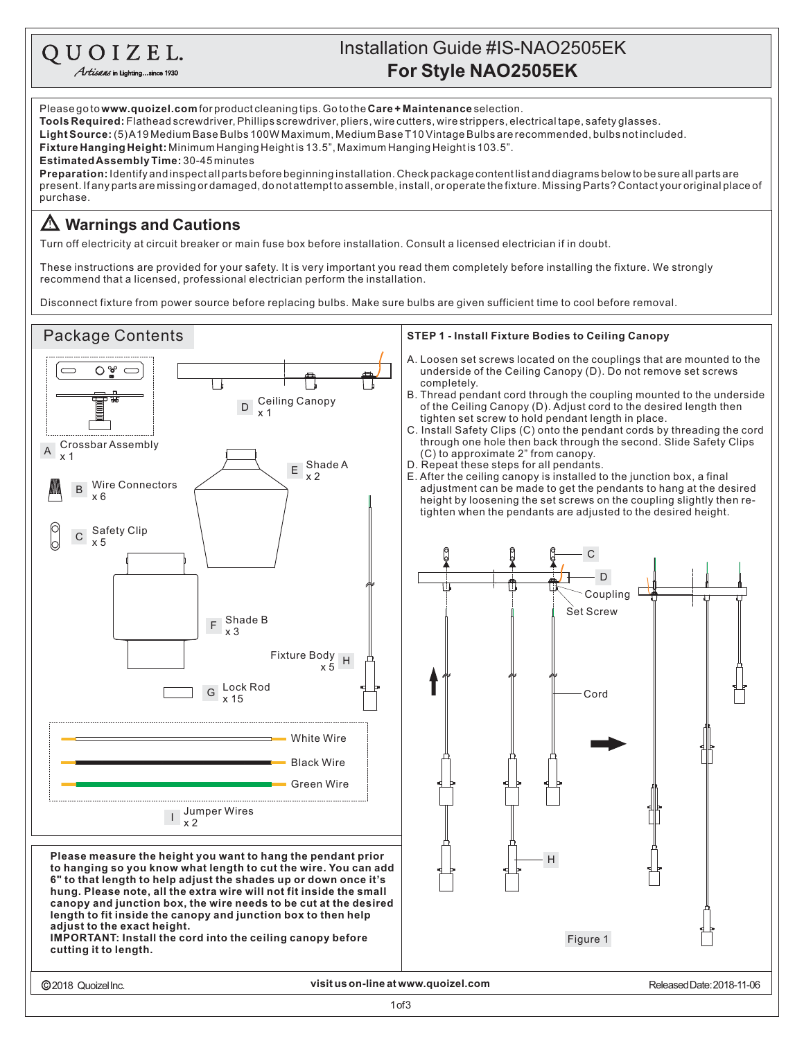## Installation Guide #IS-NAO2505EK QUOIZEL. **For Style NAO2505EK** Artisans in Lighting...since 1930 Please go to **www.quoizel.com** for product cleaning tips. Go to the **Care + Maintenance** selection. **Tools Required:** Flathead screwdriver, Phillips screwdriver, pliers, wire cutters, wire strippers, electrical tape, safety glasses.

**Fixture Hanging Height:** Minimum Hanging Heightis 13.5", Maximum Hanging Heightis 103.5". **LightSource:** (5)A19MediumBaseBulbs100WMaximum,MediumBaseT10VintageBulbsarerecommended,bulbsnotincluded.

**EstimatedAssemblyTime:** 30-45minutes

present. If any parts are missing or damaged, do not attempt to assemble, install, or operate the fixture. Missing Parts? Contact your original place of purchase. **Preparation:** Identifyandinspectallpartsbeforebeginninginstallation.Checkpackagecontentlistanddiagramsbelowtobesureallpartsare

## **Warnings and Cautions**

Turn off electricity at circuit breaker or main fuse box before installation. Consult a licensed electrician if in doubt.

These instructions are provided for your safety. It is very important you read them completely before installing the fixture. We strongly recommend that a licensed, professional electrician perform the installation.

Disconnect fixture from power source before replacing bulbs. Make sure bulbs are given sufficient time to cool before removal.

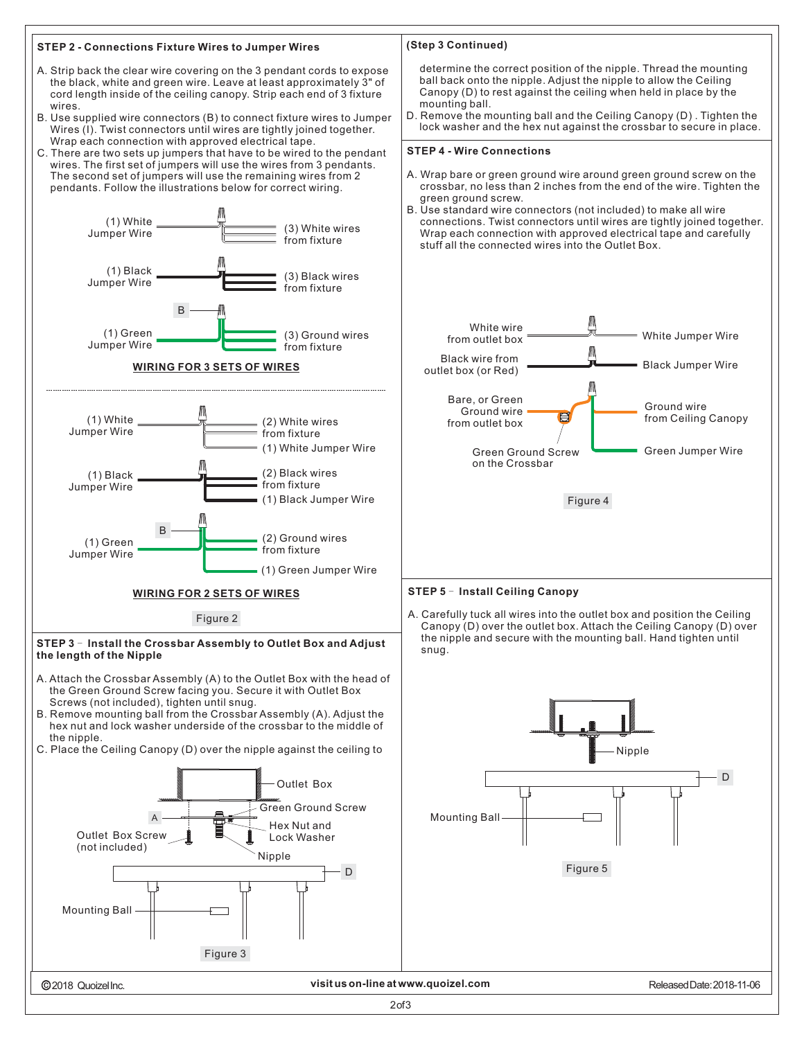